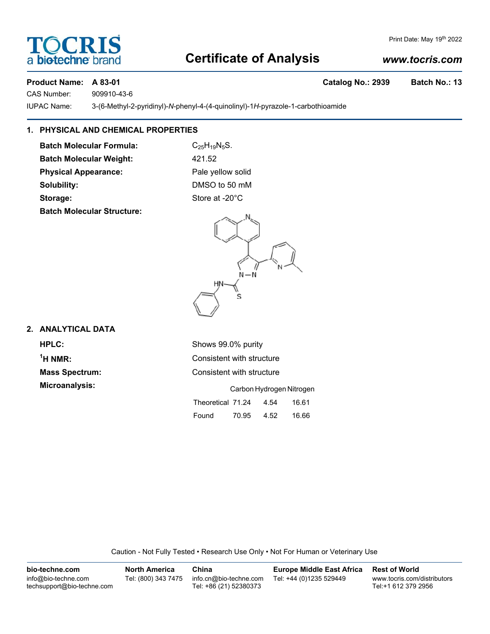# **Certificate of Analysis**

## *www.tocris.com*

Print Date: May 19th 2022

### **Product Name: A 83-01 Catalog No.: 2939 Batch No.: 13**

**SCRI** 

CAS Number: 909910-43-6

a biotechne b

IUPAC Name: 3-(6-Methyl-2-pyridinyl)-*N*-phenyl-4-(4-quinolinyl)-1*H*-pyrazole-1-carbothioamide

# **1. PHYSICAL AND CHEMICAL PROPERTIES**

**Batch Molecular Formula:** C<sub>25</sub>H<sub>19</sub>N<sub>5</sub>S. **Batch Molecular Weight:** 421.52 **Physical Appearance:** Pale yellow solid

**Batch Molecular Structure:**

**Solubility:** DMSO to 50 mM Storage: Storage: Store at -20°C

 $N - N$ S

### **2. ANALYTICAL DATA**

<sup>1</sup>H NMR:

**HPLC:** Shows 99.0% purity **Consistent with structure Mass Spectrum:** Consistent with structure **Microanalysis:** Carbon Hydrogen Nitrogen Theoretical 71.24 4.54 16.61

Found 70.95 4.52 16.66

Caution - Not Fully Tested • Research Use Only • Not For Human or Veterinary Use

| bio-techne.com                                    | <b>North America</b> | China                                            | <b>Europe Middle East Africa</b> | <b>Rest of World</b>                               |
|---------------------------------------------------|----------------------|--------------------------------------------------|----------------------------------|----------------------------------------------------|
| info@bio-techne.com<br>techsupport@bio-techne.com | Tel: (800) 343 7475  | info.cn@bio-techne.com<br>Tel: +86 (21) 52380373 | Tel: +44 (0)1235 529449          | www.tocris.com/distributors<br>Tel:+1 612 379 2956 |